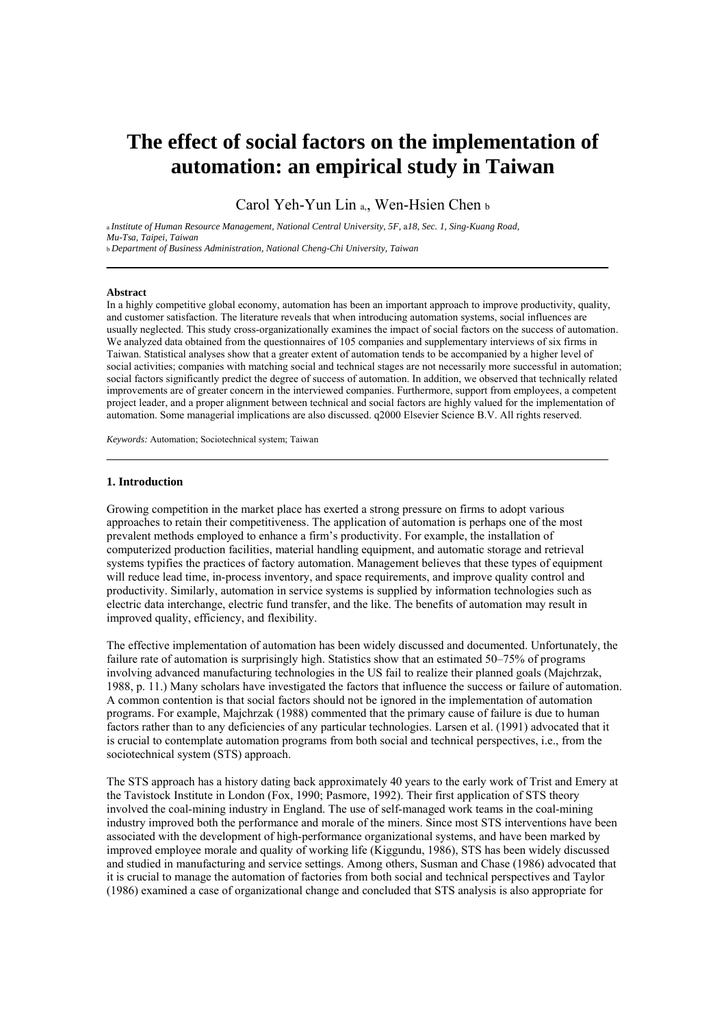# **The effect of social factors on the implementation of automation: an empirical study in Taiwan**

Carol Yeh-Yun Lin a,, Wen-Hsien Chen b

<sup>a</sup>*Institute of Human Resource Management, National Central Uni*v*ersity, 5F,* a*18, Sec. 1, Sing-Kuang Road, Mu-Tsa, Taipei, Taiwan* 

<sup>b</sup>*Department of Business Administration, National Cheng-Chi University, Taiwan*

#### **Abstract**

In a highly competitive global economy, automation has been an important approach to improve productivity, quality, and customer satisfaction. The literature reveals that when introducing automation systems, social influences are usually neglected. This study cross-organizationally examines the impact of social factors on the success of automation. We analyzed data obtained from the questionnaires of 105 companies and supplementary interviews of six firms in Taiwan. Statistical analyses show that a greater extent of automation tends to be accompanied by a higher level of social activities; companies with matching social and technical stages are not necessarily more successful in automation; social factors significantly predict the degree of success of automation. In addition, we observed that technically related improvements are of greater concern in the interviewed companies. Furthermore, support from employees, a competent project leader, and a proper alignment between technical and social factors are highly valued for the implementation of automation. Some managerial implications are also discussed. q2000 Elsevier Science B.V. All rights reserved.

*Keywords:* Automation; Sociotechnical system; Taiwan

#### **1. Introduction**

Growing competition in the market place has exerted a strong pressure on firms to adopt various approaches to retain their competitiveness. The application of automation is perhaps one of the most prevalent methods employed to enhance a firm's productivity. For example, the installation of computerized production facilities, material handling equipment, and automatic storage and retrieval systems typifies the practices of factory automation. Management believes that these types of equipment will reduce lead time, in-process inventory, and space requirements, and improve quality control and productivity. Similarly, automation in service systems is supplied by information technologies such as electric data interchange, electric fund transfer, and the like. The benefits of automation may result in improved quality, efficiency, and flexibility.

The effective implementation of automation has been widely discussed and documented. Unfortunately, the failure rate of automation is surprisingly high. Statistics show that an estimated 50–75% of programs involving advanced manufacturing technologies in the US fail to realize their planned goals (Majchrzak, 1988, p. 11.) Many scholars have investigated the factors that influence the success or failure of automation. A common contention is that social factors should not be ignored in the implementation of automation programs. For example, Majchrzak (1988) commented that the primary cause of failure is due to human factors rather than to any deficiencies of any particular technologies. Larsen et al. (1991) advocated that it is crucial to contemplate automation programs from both social and technical perspectives, i.e., from the sociotechnical system (STS) approach.

The STS approach has a history dating back approximately 40 years to the early work of Trist and Emery at the Tavistock Institute in London (Fox, 1990; Pasmore, 1992). Their first application of STS theory involved the coal-mining industry in England. The use of self-managed work teams in the coal-mining industry improved both the performance and morale of the miners. Since most STS interventions have been associated with the development of high-performance organizational systems, and have been marked by improved employee morale and quality of working life (Kiggundu, 1986), STS has been widely discussed and studied in manufacturing and service settings. Among others, Susman and Chase (1986) advocated that it is crucial to manage the automation of factories from both social and technical perspectives and Taylor (1986) examined a case of organizational change and concluded that STS analysis is also appropriate for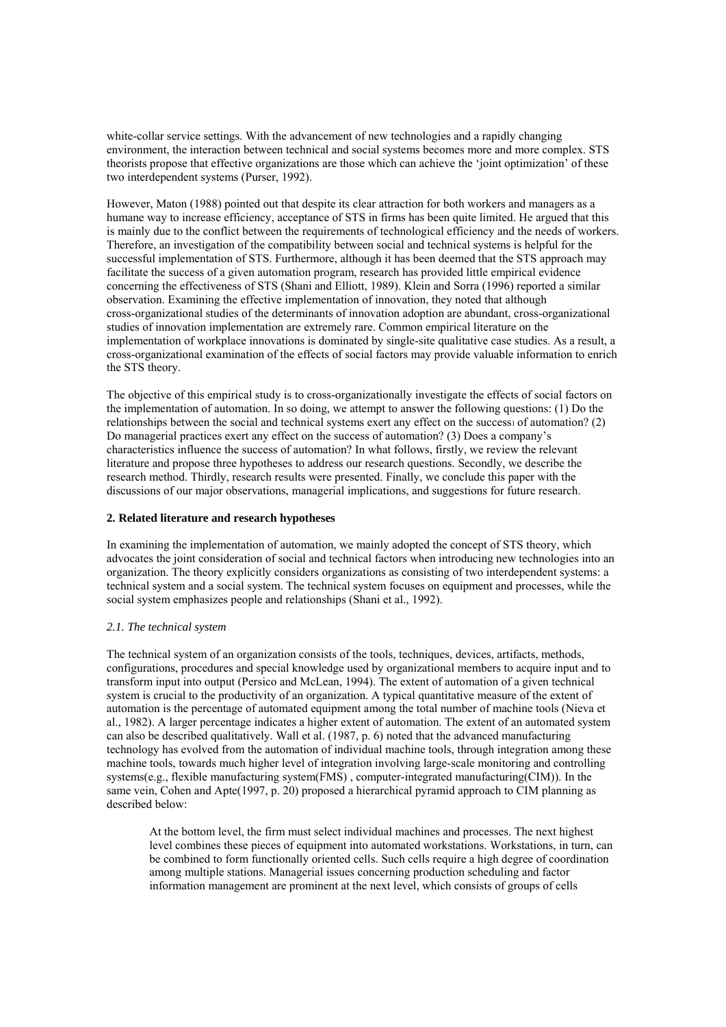white-collar service settings. With the advancement of new technologies and a rapidly changing environment, the interaction between technical and social systems becomes more and more complex. STS theorists propose that effective organizations are those which can achieve the 'joint optimization' of these two interdependent systems (Purser, 1992).

However, Maton (1988) pointed out that despite its clear attraction for both workers and managers as a humane way to increase efficiency, acceptance of STS in firms has been quite limited. He argued that this is mainly due to the conflict between the requirements of technological efficiency and the needs of workers. Therefore, an investigation of the compatibility between social and technical systems is helpful for the successful implementation of STS. Furthermore, although it has been deemed that the STS approach may facilitate the success of a given automation program, research has provided little empirical evidence concerning the effectiveness of STS (Shani and Elliott, 1989). Klein and Sorra (1996) reported a similar observation. Examining the effective implementation of innovation, they noted that although cross-organizational studies of the determinants of innovation adoption are abundant, cross-organizational studies of innovation implementation are extremely rare. Common empirical literature on the implementation of workplace innovations is dominated by single-site qualitative case studies. As a result, a cross-organizational examination of the effects of social factors may provide valuable information to enrich the STS theory.

The objective of this empirical study is to cross-organizationally investigate the effects of social factors on the implementation of automation. In so doing, we attempt to answer the following questions: (1) Do the relationships between the social and technical systems exert any effect on the successi of automation? (2) Do managerial practices exert any effect on the success of automation? (3) Does a company's characteristics influence the success of automation? In what follows, firstly, we review the relevant literature and propose three hypotheses to address our research questions. Secondly, we describe the research method. Thirdly, research results were presented. Finally, we conclude this paper with the discussions of our major observations, managerial implications, and suggestions for future research.

## **2. Related literature and research hypotheses**

In examining the implementation of automation, we mainly adopted the concept of STS theory, which advocates the joint consideration of social and technical factors when introducing new technologies into an organization. The theory explicitly considers organizations as consisting of two interdependent systems: a technical system and a social system. The technical system focuses on equipment and processes, while the social system emphasizes people and relationships (Shani et al., 1992).

# *2.1. The technical system*

The technical system of an organization consists of the tools, techniques, devices, artifacts, methods, configurations, procedures and special knowledge used by organizational members to acquire input and to transform input into output (Persico and McLean, 1994). The extent of automation of a given technical system is crucial to the productivity of an organization. A typical quantitative measure of the extent of automation is the percentage of automated equipment among the total number of machine tools (Nieva et al., 1982). A larger percentage indicates a higher extent of automation. The extent of an automated system can also be described qualitatively. Wall et al. (1987, p. 6) noted that the advanced manufacturing technology has evolved from the automation of individual machine tools, through integration among these machine tools, towards much higher level of integration involving large-scale monitoring and controlling systems(e.g., flexible manufacturing system(FMS) , computer-integrated manufacturing(CIM)). In the same vein, Cohen and Apte(1997, p. 20) proposed a hierarchical pyramid approach to CIM planning as described below:

At the bottom level, the firm must select individual machines and processes. The next highest level combines these pieces of equipment into automated workstations. Workstations, in turn, can be combined to form functionally oriented cells. Such cells require a high degree of coordination among multiple stations. Managerial issues concerning production scheduling and factor information management are prominent at the next level, which consists of groups of cells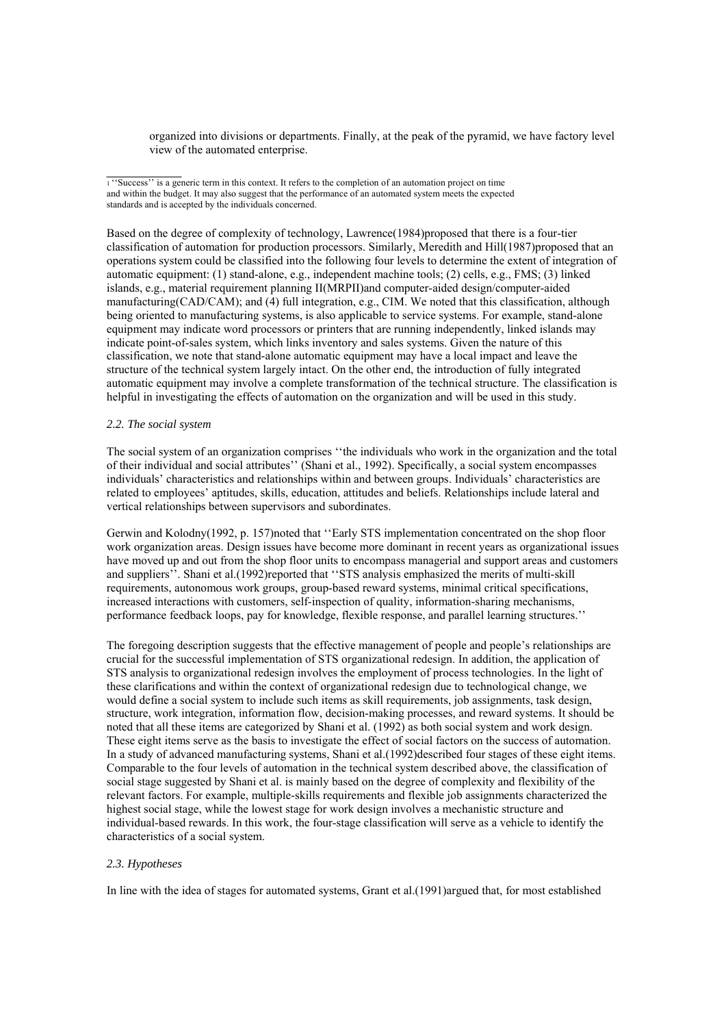organized into divisions or departments. Finally, at the peak of the pyramid, we have factory level view of the automated enterprise.

 $\frac{1}{1}$  'Success'' is a generic term in this context. It refers to the completion of an automation project on time and within the budget. It may also suggest that the performance of an automated system meets the expected standards and is accepted by the individuals concerned.

Based on the degree of complexity of technology, Lawrence(1984)proposed that there is a four-tier classification of automation for production processors. Similarly, Meredith and Hill(1987)proposed that an operations system could be classified into the following four levels to determine the extent of integration of automatic equipment: (1) stand-alone, e.g., independent machine tools; (2) cells, e.g., FMS; (3) linked islands, e.g., material requirement planning II(MRPII)and computer-aided design/computer-aided manufacturing(CAD/CAM); and (4) full integration, e.g., CIM. We noted that this classification, although being oriented to manufacturing systems, is also applicable to service systems. For example, stand-alone equipment may indicate word processors or printers that are running independently, linked islands may indicate point-of-sales system, which links inventory and sales systems. Given the nature of this classification, we note that stand-alone automatic equipment may have a local impact and leave the structure of the technical system largely intact. On the other end, the introduction of fully integrated automatic equipment may involve a complete transformation of the technical structure. The classification is helpful in investigating the effects of automation on the organization and will be used in this study.

#### *2.2. The social system*

The social system of an organization comprises ''the individuals who work in the organization and the total of their individual and social attributes'' (Shani et al., 1992). Specifically, a social system encompasses individuals' characteristics and relationships within and between groups. Individuals' characteristics are related to employees' aptitudes, skills, education, attitudes and beliefs. Relationships include lateral and vertical relationships between supervisors and subordinates.

Gerwin and Kolodny(1992, p. 157)noted that ''Early STS implementation concentrated on the shop floor work organization areas. Design issues have become more dominant in recent years as organizational issues have moved up and out from the shop floor units to encompass managerial and support areas and customers and suppliers''. Shani et al.(1992)reported that ''STS analysis emphasized the merits of multi-skill requirements, autonomous work groups, group-based reward systems, minimal critical specifications, increased interactions with customers, self-inspection of quality, information-sharing mechanisms, performance feedback loops, pay for knowledge, flexible response, and parallel learning structures.''

The foregoing description suggests that the effective management of people and people's relationships are crucial for the successful implementation of STS organizational redesign. In addition, the application of STS analysis to organizational redesign involves the employment of process technologies. In the light of these clarifications and within the context of organizational redesign due to technological change, we would define a social system to include such items as skill requirements, job assignments, task design, structure, work integration, information flow, decision-making processes, and reward systems. It should be noted that all these items are categorized by Shani et al. (1992) as both social system and work design. These eight items serve as the basis to investigate the effect of social factors on the success of automation. In a study of advanced manufacturing systems, Shani et al.(1992)described four stages of these eight items. Comparable to the four levels of automation in the technical system described above, the classification of social stage suggested by Shani et al. is mainly based on the degree of complexity and flexibility of the relevant factors. For example, multiple-skills requirements and flexible job assignments characterized the highest social stage, while the lowest stage for work design involves a mechanistic structure and individual-based rewards. In this work, the four-stage classification will serve as a vehicle to identify the characteristics of a social system.

#### *2.3. Hypotheses*

In line with the idea of stages for automated systems, Grant et al.(1991)argued that, for most established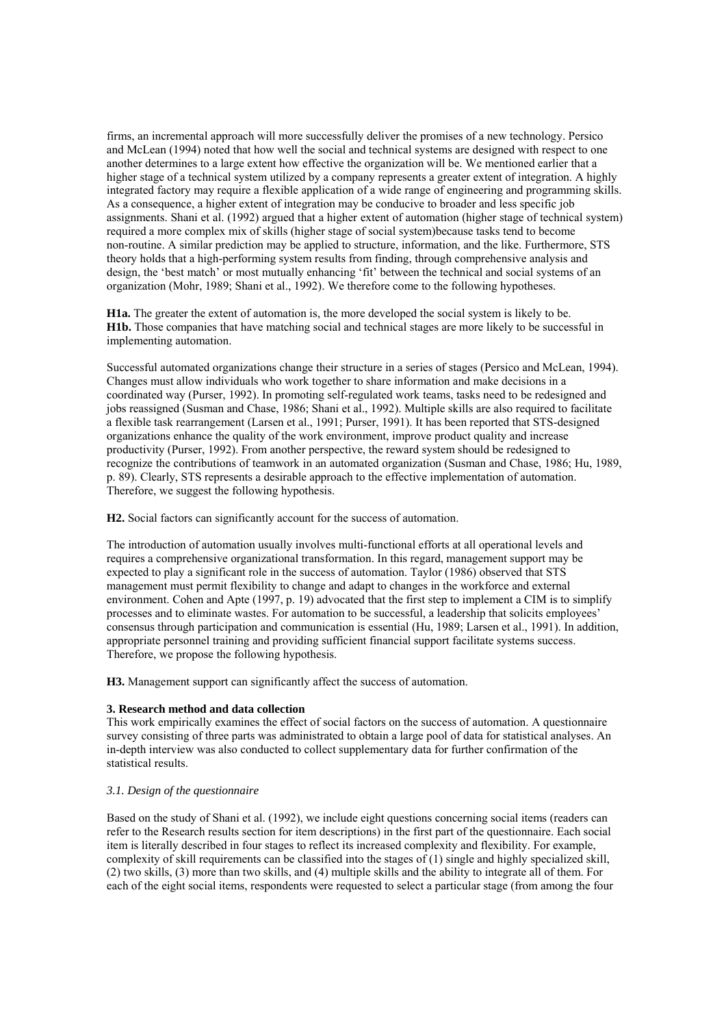firms, an incremental approach will more successfully deliver the promises of a new technology. Persico and McLean (1994) noted that how well the social and technical systems are designed with respect to one another determines to a large extent how effective the organization will be. We mentioned earlier that a higher stage of a technical system utilized by a company represents a greater extent of integration. A highly integrated factory may require a flexible application of a wide range of engineering and programming skills. As a consequence, a higher extent of integration may be conducive to broader and less specific job assignments. Shani et al. (1992) argued that a higher extent of automation (higher stage of technical system) required a more complex mix of skills (higher stage of social system)because tasks tend to become non-routine. A similar prediction may be applied to structure, information, and the like. Furthermore, STS theory holds that a high-performing system results from finding, through comprehensive analysis and design, the 'best match' or most mutually enhancing 'fit' between the technical and social systems of an organization (Mohr, 1989; Shani et al., 1992). We therefore come to the following hypotheses.

**H1a.** The greater the extent of automation is, the more developed the social system is likely to be. **H1b.** Those companies that have matching social and technical stages are more likely to be successful in implementing automation.

Successful automated organizations change their structure in a series of stages (Persico and McLean, 1994). Changes must allow individuals who work together to share information and make decisions in a coordinated way (Purser, 1992). In promoting self-regulated work teams, tasks need to be redesigned and jobs reassigned (Susman and Chase, 1986; Shani et al., 1992). Multiple skills are also required to facilitate a flexible task rearrangement (Larsen et al., 1991; Purser, 1991). It has been reported that STS-designed organizations enhance the quality of the work environment, improve product quality and increase productivity (Purser, 1992). From another perspective, the reward system should be redesigned to recognize the contributions of teamwork in an automated organization (Susman and Chase, 1986; Hu, 1989, p. 89). Clearly, STS represents a desirable approach to the effective implementation of automation. Therefore, we suggest the following hypothesis.

**H2.** Social factors can significantly account for the success of automation.

The introduction of automation usually involves multi-functional efforts at all operational levels and requires a comprehensive organizational transformation. In this regard, management support may be expected to play a significant role in the success of automation. Taylor (1986) observed that STS management must permit flexibility to change and adapt to changes in the workforce and external environment. Cohen and Apte (1997, p. 19) advocated that the first step to implement a CIM is to simplify processes and to eliminate wastes. For automation to be successful, a leadership that solicits employees' consensus through participation and communication is essential (Hu, 1989; Larsen et al., 1991). In addition, appropriate personnel training and providing sufficient financial support facilitate systems success. Therefore, we propose the following hypothesis.

**H3.** Management support can significantly affect the success of automation.

# **3. Research method and data collection**

This work empirically examines the effect of social factors on the success of automation. A questionnaire survey consisting of three parts was administrated to obtain a large pool of data for statistical analyses. An in-depth interview was also conducted to collect supplementary data for further confirmation of the statistical results.

#### *3.1. Design of the questionnaire*

Based on the study of Shani et al. (1992), we include eight questions concerning social items (readers can refer to the Research results section for item descriptions) in the first part of the questionnaire. Each social item is literally described in four stages to reflect its increased complexity and flexibility. For example, complexity of skill requirements can be classified into the stages of (1) single and highly specialized skill, (2) two skills, (3) more than two skills, and (4) multiple skills and the ability to integrate all of them. For each of the eight social items, respondents were requested to select a particular stage (from among the four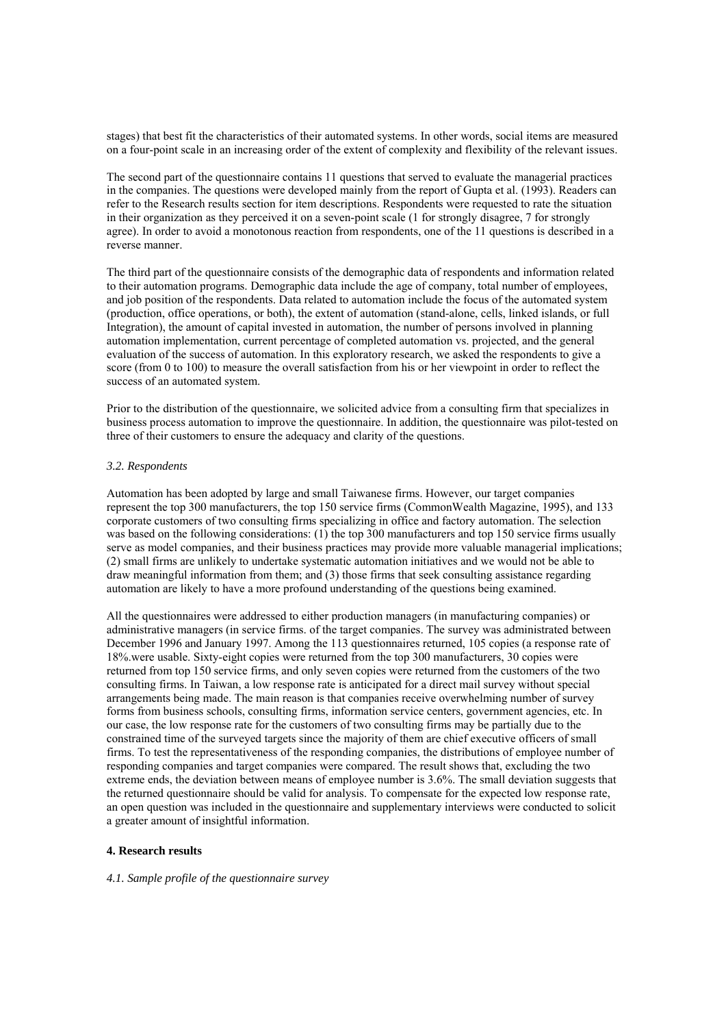stages) that best fit the characteristics of their automated systems. In other words, social items are measured on a four-point scale in an increasing order of the extent of complexity and flexibility of the relevant issues.

The second part of the questionnaire contains 11 questions that served to evaluate the managerial practices in the companies. The questions were developed mainly from the report of Gupta et al. (1993). Readers can refer to the Research results section for item descriptions. Respondents were requested to rate the situation in their organization as they perceived it on a seven-point scale (1 for strongly disagree, 7 for strongly agree). In order to avoid a monotonous reaction from respondents, one of the 11 questions is described in a reverse manner.

The third part of the questionnaire consists of the demographic data of respondents and information related to their automation programs. Demographic data include the age of company, total number of employees, and job position of the respondents. Data related to automation include the focus of the automated system (production, office operations, or both), the extent of automation (stand-alone, cells, linked islands, or full Integration), the amount of capital invested in automation, the number of persons involved in planning automation implementation, current percentage of completed automation vs. projected, and the general evaluation of the success of automation. In this exploratory research, we asked the respondents to give a score (from 0 to 100) to measure the overall satisfaction from his or her viewpoint in order to reflect the success of an automated system.

Prior to the distribution of the questionnaire, we solicited advice from a consulting firm that specializes in business process automation to improve the questionnaire. In addition, the questionnaire was pilot-tested on three of their customers to ensure the adequacy and clarity of the questions.

#### *3.2. Respondents*

Automation has been adopted by large and small Taiwanese firms. However, our target companies represent the top 300 manufacturers, the top 150 service firms (CommonWealth Magazine, 1995), and 133 corporate customers of two consulting firms specializing in office and factory automation. The selection was based on the following considerations: (1) the top 300 manufacturers and top 150 service firms usually serve as model companies, and their business practices may provide more valuable managerial implications; (2) small firms are unlikely to undertake systematic automation initiatives and we would not be able to draw meaningful information from them; and (3) those firms that seek consulting assistance regarding automation are likely to have a more profound understanding of the questions being examined.

All the questionnaires were addressed to either production managers (in manufacturing companies) or administrative managers (in service firms. of the target companies. The survey was administrated between December 1996 and January 1997. Among the 113 questionnaires returned, 105 copies (a response rate of 18%.were usable. Sixty-eight copies were returned from the top 300 manufacturers, 30 copies were returned from top 150 service firms, and only seven copies were returned from the customers of the two consulting firms. In Taiwan, a low response rate is anticipated for a direct mail survey without special arrangements being made. The main reason is that companies receive overwhelming number of survey forms from business schools, consulting firms, information service centers, government agencies, etc. In our case, the low response rate for the customers of two consulting firms may be partially due to the constrained time of the surveyed targets since the majority of them are chief executive officers of small firms. To test the representativeness of the responding companies, the distributions of employee number of responding companies and target companies were compared. The result shows that, excluding the two extreme ends, the deviation between means of employee number is 3.6%. The small deviation suggests that the returned questionnaire should be valid for analysis. To compensate for the expected low response rate, an open question was included in the questionnaire and supplementary interviews were conducted to solicit a greater amount of insightful information.

#### **4. Research results**

#### *4.1. Sample profile of the questionnaire survey*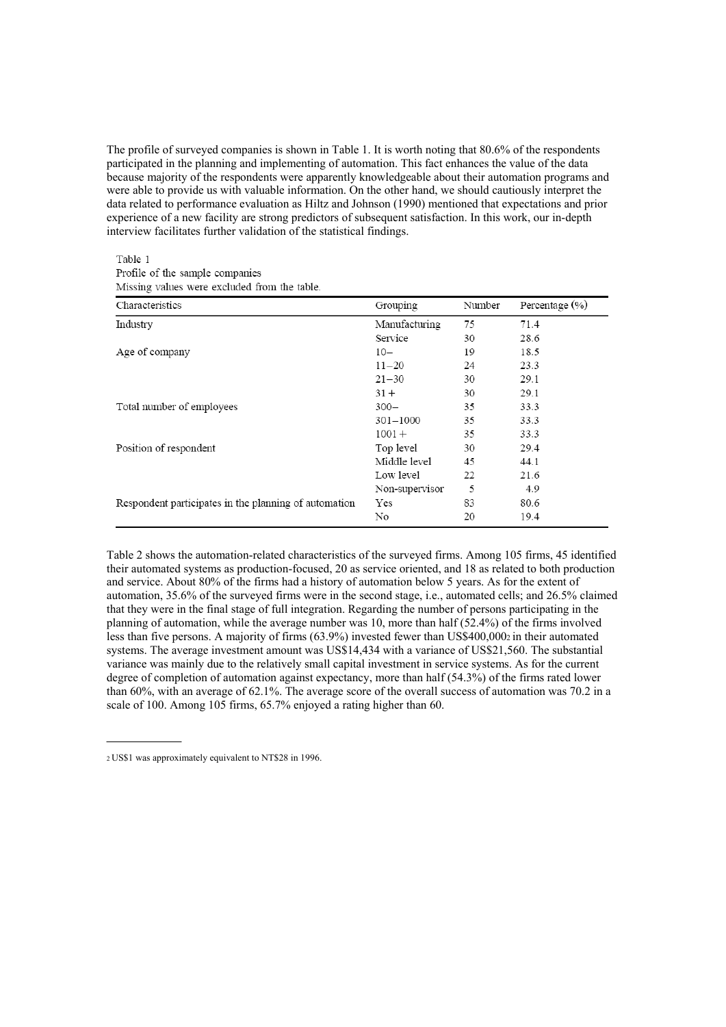The profile of surveyed companies is shown in Table 1. It is worth noting that 80.6% of the respondents participated in the planning and implementing of automation. This fact enhances the value of the data because majority of the respondents were apparently knowledgeable about their automation programs and were able to provide us with valuable information. On the other hand, we should cautiously interpret the data related to performance evaluation as Hiltz and Johnson (1990) mentioned that expectations and prior experience of a new facility are strong predictors of subsequent satisfaction. In this work, our in-depth interview facilitates further validation of the statistical findings.

Table 1 Profile of the sample companies Missing values were excluded from the table.

| Grouping       | Number | Percentage $(\%)$ |
|----------------|--------|-------------------|
| Manufacturing  | 75     | 71.4              |
| Service        | 30     | 28.6              |
| $10 -$         | 19     | 18.5              |
| $11 - 20$      | 24     | 23.3              |
| $21 - 30$      | 30     | 29.1              |
| $31 +$         | 30     | 29.1              |
| $300 -$        | 35     | 33.3              |
| $301 - 1000$   | 35     | 33.3              |
| $1001 +$       | 35     | 33.3              |
| Top level      | 30     | 29.4              |
| Middle level   | 45     | 44.1              |
| Low level      | 22     | 21.6              |
| Non-supervisor | 5      | 4.9               |
| Yes            | 83     | 80.6              |
| No             | 20     | 19.4              |
|                |        |                   |

Table 2 shows the automation-related characteristics of the surveyed firms. Among 105 firms, 45 identified their automated systems as production-focused, 20 as service oriented, and 18 as related to both production and service. About 80% of the firms had a history of automation below 5 years. As for the extent of automation, 35.6% of the surveyed firms were in the second stage, i.e., automated cells; and 26.5% claimed that they were in the final stage of full integration. Regarding the number of persons participating in the planning of automation, while the average number was 10, more than half (52.4%) of the firms involved less than five persons. A majority of firms (63.9%) invested fewer than US\$400,0002 in their automated systems. The average investment amount was US\$14,434 with a variance of US\$21,560. The substantial variance was mainly due to the relatively small capital investment in service systems. As for the current degree of completion of automation against expectancy, more than half (54.3%) of the firms rated lower than 60%, with an average of 62.1%. The average score of the overall success of automation was 70.2 in a scale of 100. Among 105 firms, 65.7% enjoyed a rating higher than 60.

<sup>2</sup> US\$1 was approximately equivalent to NT\$28 in 1996.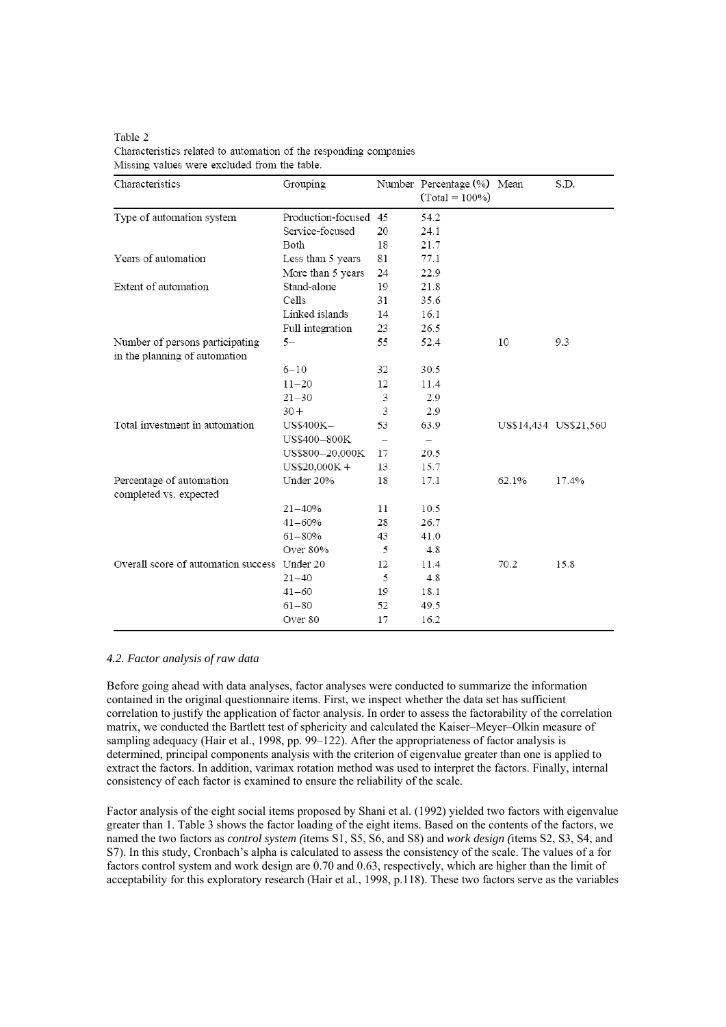Table 2 Characteristics related to automation of the responding companies Missing values were excluded from the table.

| Characteristics                                                  | Grouping              |                          | Number Percentage (%) Mean<br>$(Total = 100\%)$ |       | S.D.                  |
|------------------------------------------------------------------|-----------------------|--------------------------|-------------------------------------------------|-------|-----------------------|
| Type of automation system                                        | Production-focused 45 |                          | 54.2                                            |       |                       |
|                                                                  | Service-focused       | 20                       | 24.1                                            |       |                       |
|                                                                  | Both                  | 18                       | 21.7                                            |       |                       |
| Years of automation                                              | Less than 5 years     | 81                       | 77.1                                            |       |                       |
|                                                                  | More than 5 years     | 24                       | 22.9                                            |       |                       |
| Extent of automation                                             | Stand-alone           | 19                       | 21.8                                            |       |                       |
|                                                                  | Cells                 | 31                       | 35.6                                            |       |                       |
|                                                                  | Linked islands        | 14                       | 16.1                                            |       |                       |
|                                                                  | Full integration      | 23                       | 26.5                                            |       |                       |
| Number of persons participating<br>in the planning of automation | $5-$                  | 55                       | 52.4                                            | 10    | 9.3                   |
|                                                                  | $6 - 10$              | 32                       | 30.5                                            |       |                       |
|                                                                  | $11 - 20$             | 12                       | 11.4                                            |       |                       |
|                                                                  | $21 - 30$             | 3                        | 2.9                                             |       |                       |
|                                                                  | $30 +$                | 3                        | 2.9                                             |       |                       |
| Total investment in automation                                   | <b>US\$400K-</b>      | 53                       | 63.9                                            |       | US\$14,434 US\$21,560 |
|                                                                  | US\$400-800K          | $\overline{\phantom{0}}$ | $\qquad \qquad -$                               |       |                       |
|                                                                  | US\$800-20,000K       | 17                       | 20.5                                            |       |                       |
|                                                                  | $US$20,000K +$        | 13                       | 15.7                                            |       |                       |
| Percentage of automation<br>completed vs. expected               | Under 20%             | 18                       | 17.1                                            | 62.1% | 17.4%                 |
|                                                                  | $21 - 40%$            | 11                       | 10.5                                            |       |                       |
|                                                                  | $41 - 60%$            | 28                       | 26.7                                            |       |                       |
|                                                                  | $61 - 80%$            | 43                       | 41.0                                            |       |                       |
|                                                                  | Over 80%              | 5                        | 4.8                                             |       |                       |
| Overall score of automation success                              | Under 20              | 12                       | 11.4                                            | 70.2  | 15.8                  |
|                                                                  | $21 - 40$             | 5                        | 4.8                                             |       |                       |
|                                                                  | $41 - 60$             | 19                       | 18.1                                            |       |                       |
|                                                                  | $61 - 80$             | 52                       | 49.5                                            |       |                       |
|                                                                  | Over 80               | 17                       | 16.2                                            |       |                       |

#### *4.2. Factor analysis of raw data*

Before going ahead with data analyses, factor analyses were conducted to summarize the information contained in the original questionnaire items. First, we inspect whether the data set has sufficient correlation to justify the application of factor analysis. In order to assess the factorability of the correlation matrix, we conducted the Bartlett test of sphericity and calculated the Kaiser–Meyer–Olkin measure of sampling adequacy (Hair et al., 1998, pp. 99–122). After the appropriateness of factor analysis is determined, principal components analysis with the criterion of eigenvalue greater than one is applied to extract the factors. In addition, varimax rotation method was used to interpret the factors. Finally, internal consistency of each factor is examined to ensure the reliability of the scale.

Factor analysis of the eight social items proposed by Shani et al. (1992) yielded two factors with eigenvalue greater than 1. Table 3 shows the factor loading of the eight items. Based on the contents of the factors, we named the two factors as *control system (*items S1, S5, S6, and S8) and *work design (*items S2, S3, S4, and S7). In this study, Cronbach's alpha is calculated to assess the consistency of the scale. The values of a for factors control system and work design are 0.70 and 0.63, respectively, which are higher than the limit of acceptability for this exploratory research (Hair et al., 1998, p.118). These two factors serve as the variables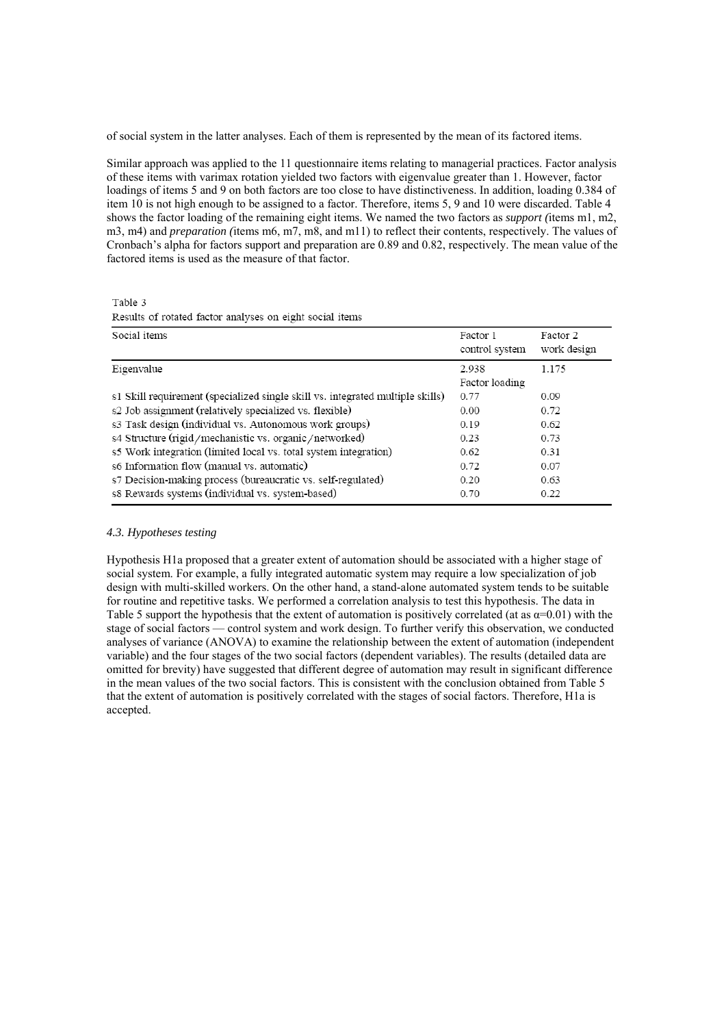of social system in the latter analyses. Each of them is represented by the mean of its factored items.

Similar approach was applied to the 11 questionnaire items relating to managerial practices. Factor analysis of these items with varimax rotation yielded two factors with eigenvalue greater than 1. However, factor loadings of items 5 and 9 on both factors are too close to have distinctiveness. In addition, loading 0.384 of item 10 is not high enough to be assigned to a factor. Therefore, items 5, 9 and 10 were discarded. Table 4 shows the factor loading of the remaining eight items. We named the two factors as *support (*items m1, m2, m3, m4) and *preparation (*items m6, m7, m8, and m11) to reflect their contents, respectively. The values of Cronbach's alpha for factors support and preparation are 0.89 and 0.82, respectively. The mean value of the factored items is used as the measure of that factor.

Table 3 Results of rotated factor analyses on eight social items

| Social items                                                                    | Factor 1<br>control system | Factor 2<br>work design |
|---------------------------------------------------------------------------------|----------------------------|-------------------------|
| Eigenvalue                                                                      | 2.938                      | 1.175                   |
|                                                                                 | Factor loading             |                         |
| s 1 Skill requirement (specialized single skill vs. integrated multiple skills) | 0.77                       | 0.09                    |
| s2 Job assignment (relatively specialized vs. flexible)                         | 0.00                       | 0.72                    |
| s3 Task design (individual vs. Autonomous work groups)                          | 0.19                       | 0.62                    |
| s4 Structure (rigid/mechanistic vs. organic/networked)                          | 0.23                       | 0.73                    |
| s5 Work integration (limited local vs. total system integration)                | 0.62                       | 0.31                    |
| s6 Information flow (manual vs. automatic)                                      | 0.72                       | 0.07                    |
| s7 Decision-making process (bureaucratic vs. self-regulated)                    | 0.20                       | 0.63                    |
| s8 Rewards systems (individual vs. system-based)                                | 0.70                       | 0.22                    |

#### *4.3. Hypotheses testing*

Hypothesis H1a proposed that a greater extent of automation should be associated with a higher stage of social system. For example, a fully integrated automatic system may require a low specialization of job design with multi-skilled workers. On the other hand, a stand-alone automated system tends to be suitable for routine and repetitive tasks. We performed a correlation analysis to test this hypothesis. The data in Table 5 support the hypothesis that the extent of automation is positively correlated (at as  $\alpha$ =0.01) with the stage of social factors — control system and work design. To further verify this observation, we conducted analyses of variance (ANOVA) to examine the relationship between the extent of automation (independent variable) and the four stages of the two social factors (dependent variables). The results (detailed data are omitted for brevity) have suggested that different degree of automation may result in significant difference in the mean values of the two social factors. This is consistent with the conclusion obtained from Table 5 that the extent of automation is positively correlated with the stages of social factors. Therefore, H1a is accepted.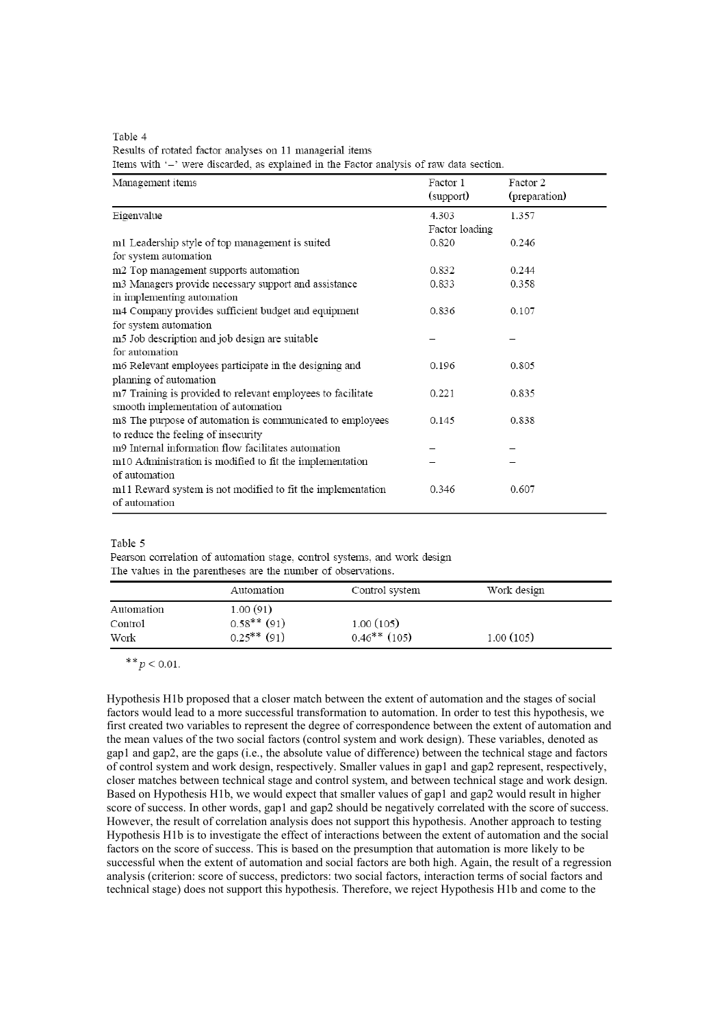Table 4 Results of rotated factor analyses on 11 managerial items

Items with '-' were discarded, as explained in the Factor analysis of raw data section.

| Management items                                                     | Factor 1       | Factor 2      |
|----------------------------------------------------------------------|----------------|---------------|
|                                                                      | (support)      | (preparation) |
| Eigenvalue                                                           | 4.303          | 1.357         |
|                                                                      | Factor loading |               |
| m1 Leadership style of top management is suited                      | 0.820          | 0.246         |
| for system automation                                                |                |               |
| m2 Top management supports automation                                | 0.832          | 0.244         |
| m3 Managers provide necessary support and assistance                 | 0.833          | 0.358         |
| in implementing automation                                           |                |               |
| m4 Company provides sufficient budget and equipment                  | 0.836          | 0.107         |
| for system automation                                                |                |               |
| m5 Job description and job design are suitable                       |                |               |
| for automation                                                       |                |               |
| m6 Relevant employees participate in the designing and               | 0.196          | 0.805         |
| planning of automation                                               |                |               |
| m7 Training is provided to relevant employees to facilitate          | 0.221          | 0.835         |
| smooth implementation of automation                                  |                |               |
| m8 The purpose of automation is communicated to employees            | 0.145          | 0.838         |
| to reduce the feeling of insecurity                                  |                |               |
| m9 Internal information flow facilitates automation                  |                |               |
| m <sub>10</sub> Administration is modified to fit the implementation |                |               |
| of automation                                                        |                |               |
| m11 Reward system is not modified to fit the implementation          | 0.346          | 0.607         |
| of automation                                                        |                |               |

Table 5

Pearson correlation of automation stage, control systems, and work design The values in the parentheses are the number of observations.

|                               | Automation                                 | Control system              | Work design |  |
|-------------------------------|--------------------------------------------|-----------------------------|-------------|--|
| Automation<br>Control<br>Work | 1.00(91)<br>$0.58**$ (91)<br>$0.25**$ (91) | 1.00(105)<br>$0.46**$ (105) | 1.00(105)   |  |

 $** p < 0.01$ .

Hypothesis H1b proposed that a closer match between the extent of automation and the stages of social factors would lead to a more successful transformation to automation. In order to test this hypothesis, we first created two variables to represent the degree of correspondence between the extent of automation and the mean values of the two social factors (control system and work design). These variables, denoted as gap1 and gap2, are the gaps (i.e., the absolute value of difference) between the technical stage and factors of control system and work design, respectively. Smaller values in gap1 and gap2 represent, respectively, closer matches between technical stage and control system, and between technical stage and work design. Based on Hypothesis H1b, we would expect that smaller values of gap1 and gap2 would result in higher score of success. In other words, gap1 and gap2 should be negatively correlated with the score of success. However, the result of correlation analysis does not support this hypothesis. Another approach to testing Hypothesis H1b is to investigate the effect of interactions between the extent of automation and the social factors on the score of success. This is based on the presumption that automation is more likely to be successful when the extent of automation and social factors are both high. Again, the result of a regression analysis (criterion: score of success, predictors: two social factors, interaction terms of social factors and technical stage) does not support this hypothesis. Therefore, we reject Hypothesis H1b and come to the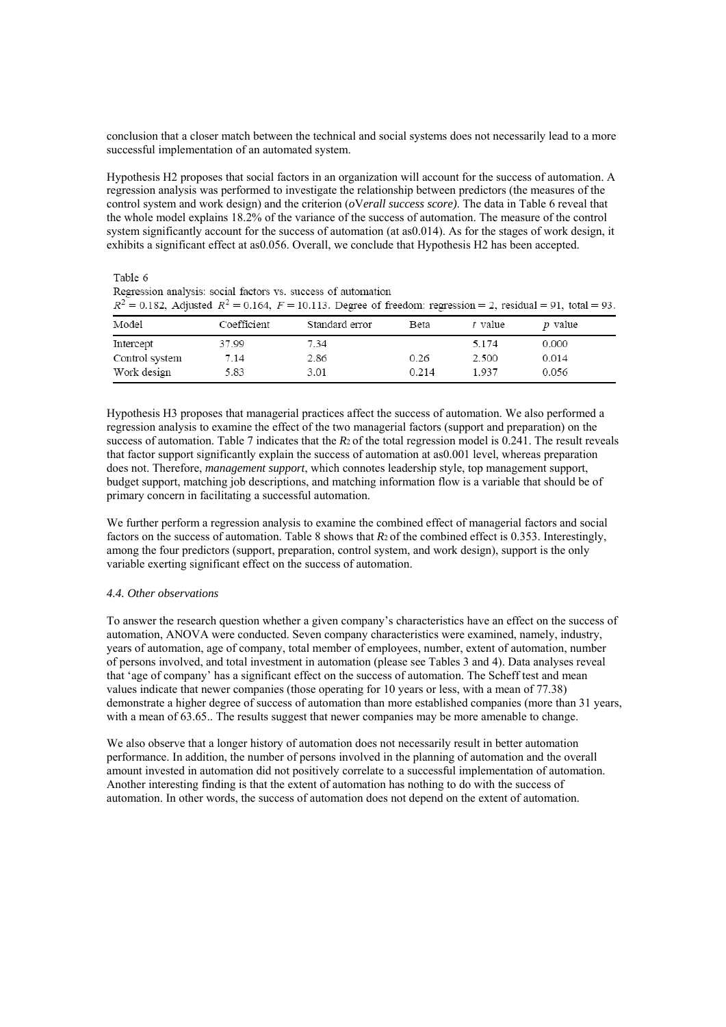conclusion that a closer match between the technical and social systems does not necessarily lead to a more successful implementation of an automated system.

Hypothesis H2 proposes that social factors in an organization will account for the success of automation. A regression analysis was performed to investigate the relationship between predictors (the measures of the control system and work design) and the criterion (*o*V*erall success score)*. The data in Table 6 reveal that the whole model explains 18.2% of the variance of the success of automation. The measure of the control system significantly account for the success of automation (at as0.014). As for the stages of work design, it exhibits a significant effect at as0.056. Overall, we conclude that Hypothesis H2 has been accepted.

Table 6

Regression analysis: social factors vs. success of automation  $R^2 = 0.182$ . Adjusted  $R^2 = 0.164$ .  $F = 10.113$ . Degree of freedom: regression = 2, residual = 91, total = 93.

| Model          | Coefficient | Standard error | Beta  | $t$ value | <i>p</i> value |
|----------------|-------------|----------------|-------|-----------|----------------|
| Intercept      | 37.99       | 7.34           |       | 5.174     | 0.000          |
| Control system | 7.14        | 2.86           | 0.26  | 2.500     | 0.014          |
| Work design    | 5.83        | 3.01           | 0.214 | 1 937     | 0.056          |

Hypothesis H3 proposes that managerial practices affect the success of automation. We also performed a regression analysis to examine the effect of the two managerial factors (support and preparation) on the success of automation. Table 7 indicates that the *R*<sub>2</sub> of the total regression model is 0.241. The result reveals that factor support significantly explain the success of automation at as0.001 level, whereas preparation does not. Therefore, *management support*, which connotes leadership style, top management support, budget support, matching job descriptions, and matching information flow is a variable that should be of primary concern in facilitating a successful automation.

We further perform a regression analysis to examine the combined effect of managerial factors and social factors on the success of automation. Table 8 shows that *R*2 of the combined effect is 0.353. Interestingly, among the four predictors (support, preparation, control system, and work design), support is the only variable exerting significant effect on the success of automation.

# *4.4. Other observations*

To answer the research question whether a given company's characteristics have an effect on the success of automation, ANOVA were conducted. Seven company characteristics were examined, namely, industry, years of automation, age of company, total member of employees, number, extent of automation, number of persons involved, and total investment in automation (please see Tables 3 and 4). Data analyses reveal that 'age of company' has a significant effect on the success of automation. The Scheff test and mean values indicate that newer companies (those operating for 10 years or less, with a mean of 77.38) demonstrate a higher degree of success of automation than more established companies (more than 31 years, with a mean of 63.65.. The results suggest that newer companies may be more amenable to change.

We also observe that a longer history of automation does not necessarily result in better automation performance. In addition, the number of persons involved in the planning of automation and the overall amount invested in automation did not positively correlate to a successful implementation of automation. Another interesting finding is that the extent of automation has nothing to do with the success of automation. In other words, the success of automation does not depend on the extent of automation.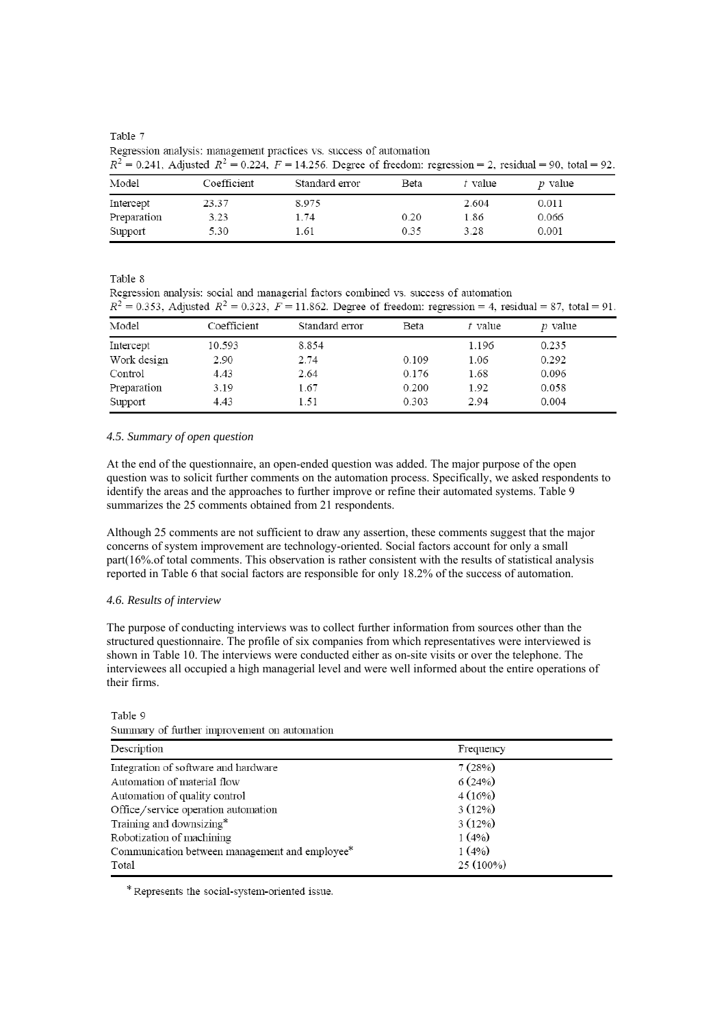Table 7 Regression analysis: management practices vs. success of automation  $R^2 = 0.241$ . Adjusted  $R^2 = 0.224$ .  $F = 14.256$ . Degree of freedom: regression = 2, residual = 90, total = 92

|             | The comparison of the company $\tau$ is a company of the contract the contract of the contract of the company $\tau$ |                |      |         |                |  |
|-------------|----------------------------------------------------------------------------------------------------------------------|----------------|------|---------|----------------|--|
| Model       | Coefficient                                                                                                          | Standard error | Beta | t value | <i>p</i> value |  |
| Intercept   | 23.37                                                                                                                | 8.975          |      | 2.604   | 0.011          |  |
| Preparation | 3.23                                                                                                                 | 1.74           | 0.20 | 1.86    | 0.066          |  |
| Support     | 5.30                                                                                                                 | 1.61           | 0.35 | 3.28    | 0.001          |  |

Table 8

Regression analysis: social and managerial factors combined vs. success of automation  $R^{2} = 0.353$ . Adjusted  $R^{2} = 0.323$ ,  $F = 11.862$ . Degree of freedom: regression = 4, residual = 87, total = 91.

| Model       | Coefficient | Standard error | Beta  | $t$ value | $\n  p \n  value\n$ |
|-------------|-------------|----------------|-------|-----------|---------------------|
| Intercept   | 10.593      | 8.854          |       | 1.196     | 0.235               |
| Work design | 2.90        | 2.74           | 0.109 | 1.06      | 0.292               |
| Control     | 4.43        | 2.64           | 0.176 | 1.68      | 0.096               |
| Preparation | 3.19        | 1.67           | 0.200 | 1.92      | 0.058               |
| Support     | 4.43        | 1.51           | 0.303 | 2.94      | 0.004               |

# *4.5. Summary of open question*

At the end of the questionnaire, an open-ended question was added. The major purpose of the open question was to solicit further comments on the automation process. Specifically, we asked respondents to identify the areas and the approaches to further improve or refine their automated systems. Table 9 summarizes the 25 comments obtained from 21 respondents.

Although 25 comments are not sufficient to draw any assertion, these comments suggest that the major concerns of system improvement are technology-oriented. Social factors account for only a small part(16%.of total comments. This observation is rather consistent with the results of statistical analysis reported in Table 6 that social factors are responsible for only 18.2% of the success of automation.

#### *4.6. Results of interview*

The purpose of conducting interviews was to collect further information from sources other than the structured questionnaire. The profile of six companies from which representatives were interviewed is shown in Table 10. The interviews were conducted either as on-site visits or over the telephone. The interviewees all occupied a high managerial level and were well informed about the entire operations of their firms.

Table 9 Summary of further improvement on automation

| Description                                    | Frequency |  |
|------------------------------------------------|-----------|--|
| Integration of software and hardware           | 7(28%)    |  |
| Automation of material flow                    | 6(24%)    |  |
| Automation of quality control                  | 4(16%)    |  |
| Office/service operation automation            | 3(12%)    |  |
| Training and downsizing*                       | 3(12%)    |  |
| Robotization of machining                      | 1(4%)     |  |
| Communication between management and employee* | 1(4%)     |  |
| Total                                          | 25 (100%) |  |

\* Represents the social-system-oriented issue.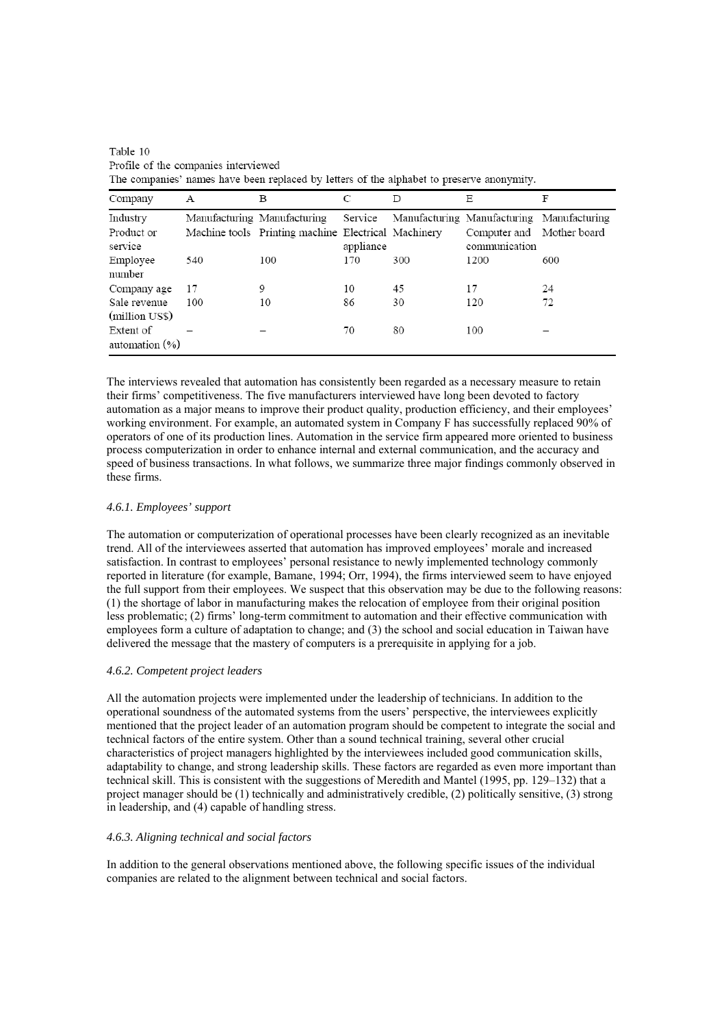|                                |     | ------ <i>--</i> --                                 |           |     |                                            |     |
|--------------------------------|-----|-----------------------------------------------------|-----------|-----|--------------------------------------------|-----|
| Company                        | А   | B                                                   | С         | D   | Ε                                          | F   |
| Industry                       |     | Manufacturing Manufacturing                         | Service   |     | Manufacturing Manufacturing Manufacturing  |     |
| Product or<br>service          |     | Machine tools Printing machine Electrical Machinery | appliance |     | Computer and Mother board<br>communication |     |
| Employee<br>number             | 540 | 100                                                 | 170       | 300 | 1200                                       | 600 |
| Company age                    | 17  | 9                                                   | 10        | 45  | 17                                         | 24  |
| Sale revenue<br>(million US\$) | 100 | 10                                                  | 86        | 30  | 120                                        | 72  |
| Extent of<br>automation $(\%)$ |     |                                                     | 70        | 80  | 100                                        |     |

Table 10 Profile of the companies interviewed The companies' names have been replaced by letters of the alphabet to preserve anonymity.

The interviews revealed that automation has consistently been regarded as a necessary measure to retain their firms' competitiveness. The five manufacturers interviewed have long been devoted to factory automation as a major means to improve their product quality, production efficiency, and their employees' working environment. For example, an automated system in Company F has successfully replaced 90% of operators of one of its production lines. Automation in the service firm appeared more oriented to business process computerization in order to enhance internal and external communication, and the accuracy and speed of business transactions. In what follows, we summarize three major findings commonly observed in these firms.

## *4.6.1. Employees' support*

The automation or computerization of operational processes have been clearly recognized as an inevitable trend. All of the interviewees asserted that automation has improved employees' morale and increased satisfaction. In contrast to employees' personal resistance to newly implemented technology commonly reported in literature (for example, Bamane, 1994; Orr, 1994), the firms interviewed seem to have enjoyed the full support from their employees. We suspect that this observation may be due to the following reasons: (1) the shortage of labor in manufacturing makes the relocation of employee from their original position less problematic; (2) firms' long-term commitment to automation and their effective communication with employees form a culture of adaptation to change; and (3) the school and social education in Taiwan have delivered the message that the mastery of computers is a prerequisite in applying for a job.

#### *4.6.2. Competent project leaders*

All the automation projects were implemented under the leadership of technicians. In addition to the operational soundness of the automated systems from the users' perspective, the interviewees explicitly mentioned that the project leader of an automation program should be competent to integrate the social and technical factors of the entire system. Other than a sound technical training, several other crucial characteristics of project managers highlighted by the interviewees included good communication skills, adaptability to change, and strong leadership skills. These factors are regarded as even more important than technical skill. This is consistent with the suggestions of Meredith and Mantel (1995, pp. 129–132) that a project manager should be (1) technically and administratively credible, (2) politically sensitive, (3) strong in leadership, and (4) capable of handling stress.

#### *4.6.3. Aligning technical and social factors*

In addition to the general observations mentioned above, the following specific issues of the individual companies are related to the alignment between technical and social factors.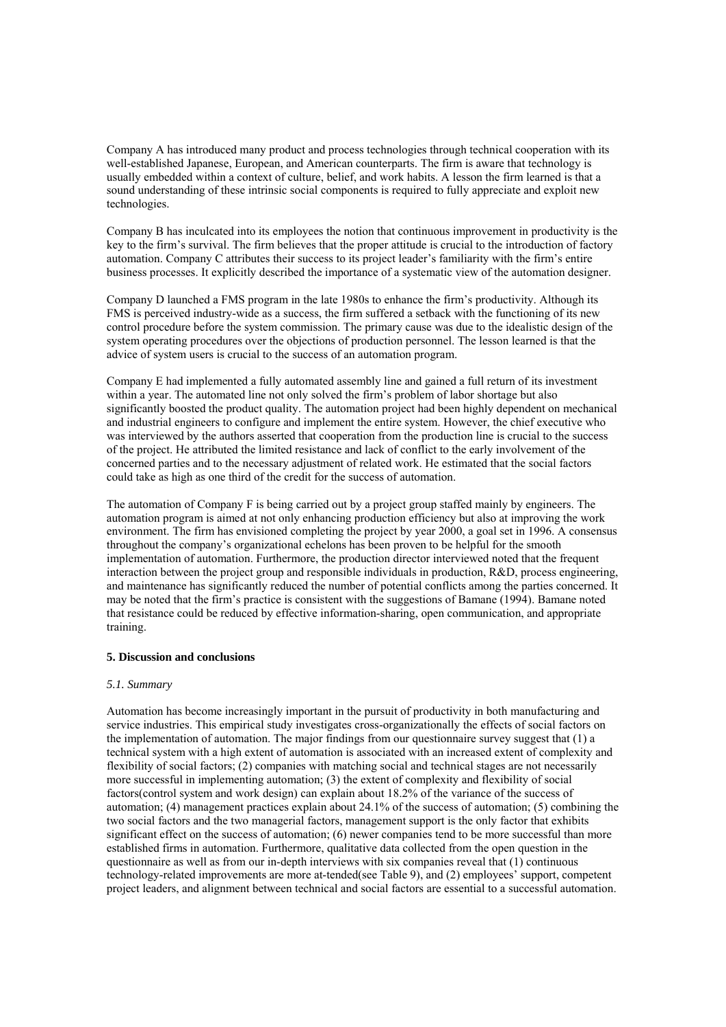Company A has introduced many product and process technologies through technical cooperation with its well-established Japanese, European, and American counterparts. The firm is aware that technology is usually embedded within a context of culture, belief, and work habits. A lesson the firm learned is that a sound understanding of these intrinsic social components is required to fully appreciate and exploit new technologies.

Company B has inculcated into its employees the notion that continuous improvement in productivity is the key to the firm's survival. The firm believes that the proper attitude is crucial to the introduction of factory automation. Company C attributes their success to its project leader's familiarity with the firm's entire business processes. It explicitly described the importance of a systematic view of the automation designer.

Company D launched a FMS program in the late 1980s to enhance the firm's productivity. Although its FMS is perceived industry-wide as a success, the firm suffered a setback with the functioning of its new control procedure before the system commission. The primary cause was due to the idealistic design of the system operating procedures over the objections of production personnel. The lesson learned is that the advice of system users is crucial to the success of an automation program.

Company E had implemented a fully automated assembly line and gained a full return of its investment within a year. The automated line not only solved the firm's problem of labor shortage but also significantly boosted the product quality. The automation project had been highly dependent on mechanical and industrial engineers to configure and implement the entire system. However, the chief executive who was interviewed by the authors asserted that cooperation from the production line is crucial to the success of the project. He attributed the limited resistance and lack of conflict to the early involvement of the concerned parties and to the necessary adjustment of related work. He estimated that the social factors could take as high as one third of the credit for the success of automation.

The automation of Company F is being carried out by a project group staffed mainly by engineers. The automation program is aimed at not only enhancing production efficiency but also at improving the work environment. The firm has envisioned completing the project by year 2000, a goal set in 1996. A consensus throughout the company's organizational echelons has been proven to be helpful for the smooth implementation of automation. Furthermore, the production director interviewed noted that the frequent interaction between the project group and responsible individuals in production, R&D, process engineering, and maintenance has significantly reduced the number of potential conflicts among the parties concerned. It may be noted that the firm's practice is consistent with the suggestions of Bamane (1994). Bamane noted that resistance could be reduced by effective information-sharing, open communication, and appropriate training.

#### **5. Discussion and conclusions**

#### *5.1. Summary*

Automation has become increasingly important in the pursuit of productivity in both manufacturing and service industries. This empirical study investigates cross-organizationally the effects of social factors on the implementation of automation. The major findings from our questionnaire survey suggest that (1) a technical system with a high extent of automation is associated with an increased extent of complexity and flexibility of social factors; (2) companies with matching social and technical stages are not necessarily more successful in implementing automation; (3) the extent of complexity and flexibility of social factors(control system and work design) can explain about 18.2% of the variance of the success of automation; (4) management practices explain about 24.1% of the success of automation; (5) combining the two social factors and the two managerial factors, management support is the only factor that exhibits significant effect on the success of automation; (6) newer companies tend to be more successful than more established firms in automation. Furthermore, qualitative data collected from the open question in the questionnaire as well as from our in-depth interviews with six companies reveal that (1) continuous technology-related improvements are more at-tended(see Table 9), and (2) employees' support, competent project leaders, and alignment between technical and social factors are essential to a successful automation.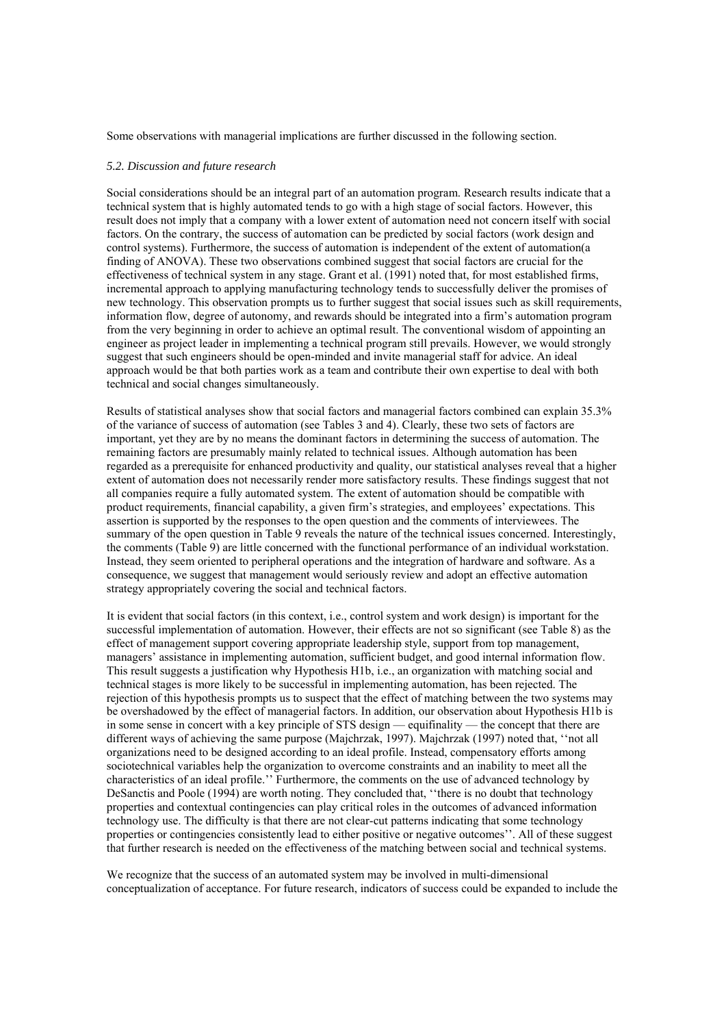Some observations with managerial implications are further discussed in the following section.

#### *5.2. Discussion and future research*

Social considerations should be an integral part of an automation program. Research results indicate that a technical system that is highly automated tends to go with a high stage of social factors. However, this result does not imply that a company with a lower extent of automation need not concern itself with social factors. On the contrary, the success of automation can be predicted by social factors (work design and control systems). Furthermore, the success of automation is independent of the extent of automation(a finding of ANOVA). These two observations combined suggest that social factors are crucial for the effectiveness of technical system in any stage. Grant et al. (1991) noted that, for most established firms, incremental approach to applying manufacturing technology tends to successfully deliver the promises of new technology. This observation prompts us to further suggest that social issues such as skill requirements, information flow, degree of autonomy, and rewards should be integrated into a firm's automation program from the very beginning in order to achieve an optimal result. The conventional wisdom of appointing an engineer as project leader in implementing a technical program still prevails. However, we would strongly suggest that such engineers should be open-minded and invite managerial staff for advice. An ideal approach would be that both parties work as a team and contribute their own expertise to deal with both technical and social changes simultaneously.

Results of statistical analyses show that social factors and managerial factors combined can explain 35.3% of the variance of success of automation (see Tables 3 and 4). Clearly, these two sets of factors are important, yet they are by no means the dominant factors in determining the success of automation. The remaining factors are presumably mainly related to technical issues. Although automation has been regarded as a prerequisite for enhanced productivity and quality, our statistical analyses reveal that a higher extent of automation does not necessarily render more satisfactory results. These findings suggest that not all companies require a fully automated system. The extent of automation should be compatible with product requirements, financial capability, a given firm's strategies, and employees' expectations. This assertion is supported by the responses to the open question and the comments of interviewees. The summary of the open question in Table 9 reveals the nature of the technical issues concerned. Interestingly, the comments (Table 9) are little concerned with the functional performance of an individual workstation. Instead, they seem oriented to peripheral operations and the integration of hardware and software. As a consequence, we suggest that management would seriously review and adopt an effective automation strategy appropriately covering the social and technical factors.

It is evident that social factors (in this context, i.e., control system and work design) is important for the successful implementation of automation. However, their effects are not so significant (see Table 8) as the effect of management support covering appropriate leadership style, support from top management, managers' assistance in implementing automation, sufficient budget, and good internal information flow. This result suggests a justification why Hypothesis H1b, i.e., an organization with matching social and technical stages is more likely to be successful in implementing automation, has been rejected. The rejection of this hypothesis prompts us to suspect that the effect of matching between the two systems may be overshadowed by the effect of managerial factors. In addition, our observation about Hypothesis H1b is in some sense in concert with a key principle of STS design — equifinality — the concept that there are different ways of achieving the same purpose (Majchrzak, 1997). Majchrzak (1997) noted that, ''not all organizations need to be designed according to an ideal profile. Instead, compensatory efforts among sociotechnical variables help the organization to overcome constraints and an inability to meet all the characteristics of an ideal profile.'' Furthermore, the comments on the use of advanced technology by DeSanctis and Poole (1994) are worth noting. They concluded that, ''there is no doubt that technology properties and contextual contingencies can play critical roles in the outcomes of advanced information technology use. The difficulty is that there are not clear-cut patterns indicating that some technology properties or contingencies consistently lead to either positive or negative outcomes''. All of these suggest that further research is needed on the effectiveness of the matching between social and technical systems.

We recognize that the success of an automated system may be involved in multi-dimensional conceptualization of acceptance. For future research, indicators of success could be expanded to include the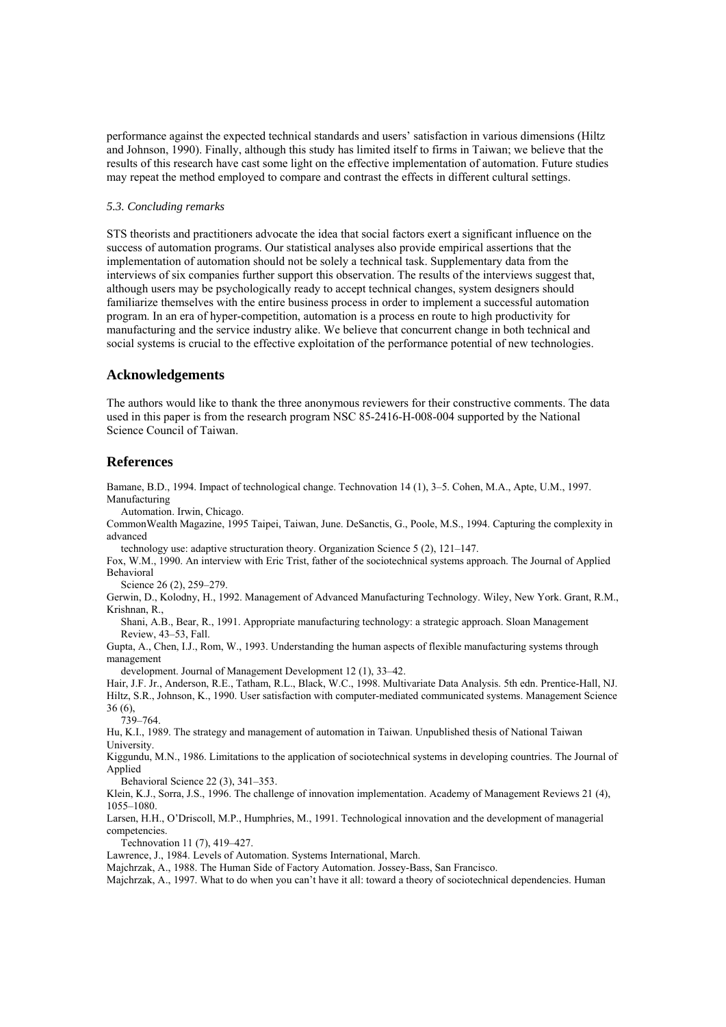performance against the expected technical standards and users' satisfaction in various dimensions (Hiltz and Johnson, 1990). Finally, although this study has limited itself to firms in Taiwan; we believe that the results of this research have cast some light on the effective implementation of automation. Future studies may repeat the method employed to compare and contrast the effects in different cultural settings.

#### *5.3. Concluding remarks*

STS theorists and practitioners advocate the idea that social factors exert a significant influence on the success of automation programs. Our statistical analyses also provide empirical assertions that the implementation of automation should not be solely a technical task. Supplementary data from the interviews of six companies further support this observation. The results of the interviews suggest that, although users may be psychologically ready to accept technical changes, system designers should familiarize themselves with the entire business process in order to implement a successful automation program. In an era of hyper-competition, automation is a process en route to high productivity for manufacturing and the service industry alike. We believe that concurrent change in both technical and social systems is crucial to the effective exploitation of the performance potential of new technologies.

# **Acknowledgements**

The authors would like to thank the three anonymous reviewers for their constructive comments. The data used in this paper is from the research program NSC 85-2416-H-008-004 supported by the National Science Council of Taiwan.

# **References**

Bamane, B.D., 1994. Impact of technological change. Technovation 14 (1), 3–5. Cohen, M.A., Apte, U.M., 1997. Manufacturing

Automation. Irwin, Chicago.

CommonWealth Magazine, 1995 Taipei, Taiwan, June. DeSanctis, G., Poole, M.S., 1994. Capturing the complexity in advanced

technology use: adaptive structuration theory. Organization Science 5 (2), 121–147.

Fox, W.M., 1990. An interview with Eric Trist, father of the sociotechnical systems approach. The Journal of Applied Behavioral

Science 26 (2), 259–279.

Gerwin, D., Kolodny, H., 1992. Management of Advanced Manufacturing Technology. Wiley, New York. Grant, R.M., Krishnan, R.,

Shani, A.B., Bear, R., 1991. Appropriate manufacturing technology: a strategic approach. Sloan Management Review, 43–53, Fall.

Gupta, A., Chen, I.J., Rom, W., 1993. Understanding the human aspects of flexible manufacturing systems through management

development. Journal of Management Development 12 (1), 33–42.

Hair, J.F. Jr., Anderson, R.E., Tatham, R.L., Black, W.C., 1998. Multivariate Data Analysis. 5th edn. Prentice-Hall, NJ. Hiltz, S.R., Johnson, K., 1990. User satisfaction with computer-mediated communicated systems. Management Science 36 (6),

739–764.

Hu, K.I., 1989. The strategy and management of automation in Taiwan. Unpublished thesis of National Taiwan **University** 

Kiggundu, M.N., 1986. Limitations to the application of sociotechnical systems in developing countries. The Journal of Applied

Behavioral Science 22 (3), 341–353.

Klein, K.J., Sorra, J.S., 1996. The challenge of innovation implementation. Academy of Management Reviews 21 (4), 1055–1080.

Larsen, H.H., O'Driscoll, M.P., Humphries, M., 1991. Technological innovation and the development of managerial competencies.

Technovation 11 (7), 419–427.

Lawrence, J., 1984. Levels of Automation. Systems International, March.

Majchrzak, A., 1988. The Human Side of Factory Automation. Jossey-Bass, San Francisco.

Majchrzak, A., 1997. What to do when you can't have it all: toward a theory of sociotechnical dependencies. Human